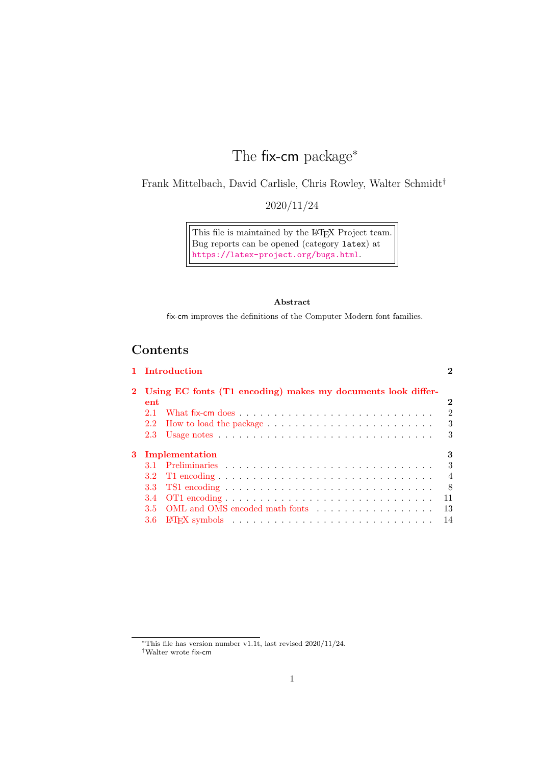# The fix-cm package<sup>\*</sup>

Frank Mittelbach, David Carlisle, Chris Rowley, Walter Schmidt†

2020/11/24

This file is maintained by the L<sup>AT</sup>EX Project team. Bug reports can be opened (category latex) at <https://latex-project.org/bugs.html>.

#### Abstract

fix-cm improves the definitions of the Computer Modern font families.

# **Contents**

|                  | 2                                                                                                                                  |
|------------------|------------------------------------------------------------------------------------------------------------------------------------|
|                  |                                                                                                                                    |
| ent              | $\bf{2}$                                                                                                                           |
| 21               | $\mathfrak{D}$                                                                                                                     |
| $2.2^{\circ}$    | 3                                                                                                                                  |
| 2.3              | 3                                                                                                                                  |
|                  | 3                                                                                                                                  |
|                  | 3                                                                                                                                  |
| 3.2 <sub>1</sub> | $\overline{4}$                                                                                                                     |
| 3.3              | 8                                                                                                                                  |
| 3.4              | 11                                                                                                                                 |
| $3.5^{\circ}$    | 13                                                                                                                                 |
| 3.6              | 14                                                                                                                                 |
|                  | 1 Introduction<br>Using EC fonts (T1 encoding) makes my documents look differ-<br>Implementation<br>OML and OMS encoded math fonts |

 $*$ This file has version number v1.1t, last revised 2020/11/24.

<sup>†</sup>Walter wrote fix-cm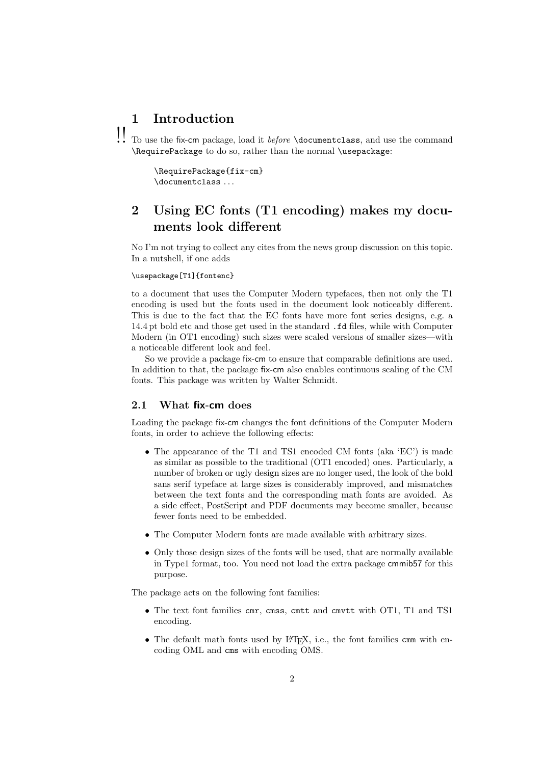# <span id="page-1-0"></span>1 Introduction

!! To use the fix-cm package, load it *before* \documentclass, and use the command \RequirePackage to do so, rather than the normal \usepackage:

> \RequirePackage{fix-cm} \documentclass . . .

# <span id="page-1-1"></span>2 Using EC fonts (T1 encoding) makes my documents look different

No I'm not trying to collect any cites from the news group discussion on this topic. In a nutshell, if one adds

#### \usepackage[T1]{fontenc}

to a document that uses the Computer Modern typefaces, then not only the T1 encoding is used but the fonts used in the document look noticeably different. This is due to the fact that the EC fonts have more font series designs, e.g. a 14.4 pt bold etc and those get used in the standard .fd files, while with Computer Modern (in OT1 encoding) such sizes were scaled versions of smaller sizes—with a noticeable different look and feel.

So we provide a package fix-cm to ensure that comparable definitions are used. In addition to that, the package fix-cm also enables continuous scaling of the CM fonts. This package was written by Walter Schmidt.

### <span id="page-1-2"></span>2.1 What fix-cm does

Loading the package fix-cm changes the font definitions of the Computer Modern fonts, in order to achieve the following effects:

- The appearance of the T1 and TS1 encoded CM fonts (aka 'EC') is made as similar as possible to the traditional (OT1 encoded) ones. Particularly, a number of broken or ugly design sizes are no longer used, the look of the bold sans serif typeface at large sizes is considerably improved, and mismatches between the text fonts and the corresponding math fonts are avoided. As a side effect, PostScript and PDF documents may become smaller, because fewer fonts need to be embedded.
- The Computer Modern fonts are made available with arbitrary sizes.
- Only those design sizes of the fonts will be used, that are normally available in Type1 format, too. You need not load the extra package cmmib57 for this purpose.

The package acts on the following font families:

- The text font families cmr, cmss, cmtt and cmvtt with OT1, T1 and TS1 encoding.
- The default math fonts used by  $\mathbb{F}$ FFX, i.e., the font families cmm with encoding OML and cms with encoding OMS.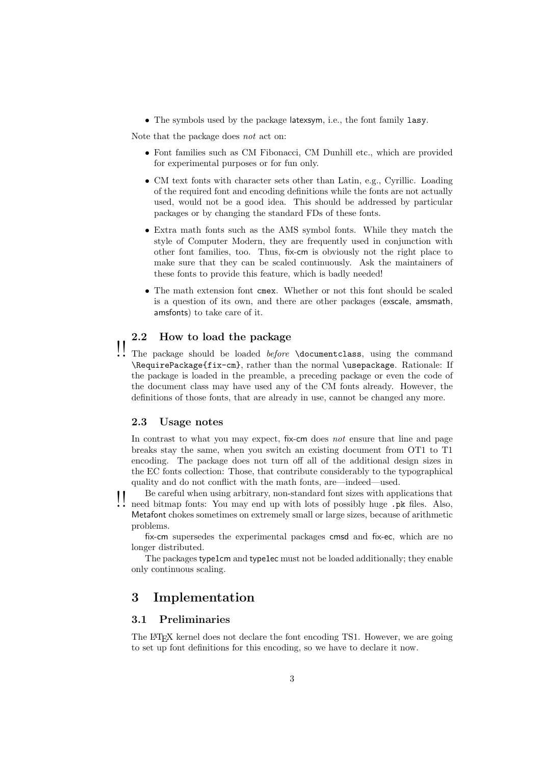• The symbols used by the package latexsym, i.e., the font family lasy.

Note that the package does not act on:

- Font families such as CM Fibonacci, CM Dunhill etc., which are provided for experimental purposes or for fun only.
- CM text fonts with character sets other than Latin, e.g., Cyrillic. Loading of the required font and encoding definitions while the fonts are not actually used, would not be a good idea. This should be addressed by particular packages or by changing the standard FDs of these fonts.
- Extra math fonts such as the AMS symbol fonts. While they match the style of Computer Modern, they are frequently used in conjunction with other font families, too. Thus, fix-cm is obviously not the right place to make sure that they can be scaled continuously. Ask the maintainers of these fonts to provide this feature, which is badly needed!
- The math extension font cmex. Whether or not this font should be scaled is a question of its own, and there are other packages (exscale, amsmath, amsfonts) to take care of it.

# <span id="page-2-0"></span>2.2 How to load the package

 $\prod_{i=1}^{n}$  The package should be loaded *before* \documentclass, using the command \RequirePackage{fix-cm}, rather than the normal \usepackage. Rationale: If the package is loaded in the preamble, a preceding package or even the code of the document class may have used any of the CM fonts already. However, the definitions of those fonts, that are already in use, cannot be changed any more.

#### <span id="page-2-1"></span>2.3 Usage notes

In contrast to what you may expect, fix-cm does not ensure that line and page breaks stay the same, when you switch an existing document from OT1 to T1 encoding. The package does not turn off all of the additional design sizes in the EC fonts collection: Those, that contribute considerably to the typographical quality and do not conflict with the math fonts, are—indeed—used.

Be careful when using arbitrary, non-standard font sizes with applications that need bitmap fonts: You may end up with lots of possibly huge .pk files. Also, Metafont chokes sometimes on extremely small or large sizes, because of arithmetic problems.

fix-cm supersedes the experimental packages cmsd and fix-ec, which are no longer distributed.

The packages type1cm and type1ec must not be loaded additionally; they enable only continuous scaling.

# <span id="page-2-2"></span>3 Implementation

### <span id="page-2-3"></span>3.1 Preliminaries

The LATEX kernel does not declare the font encoding TS1. However, we are going to set up font definitions for this encoding, so we have to declare it now.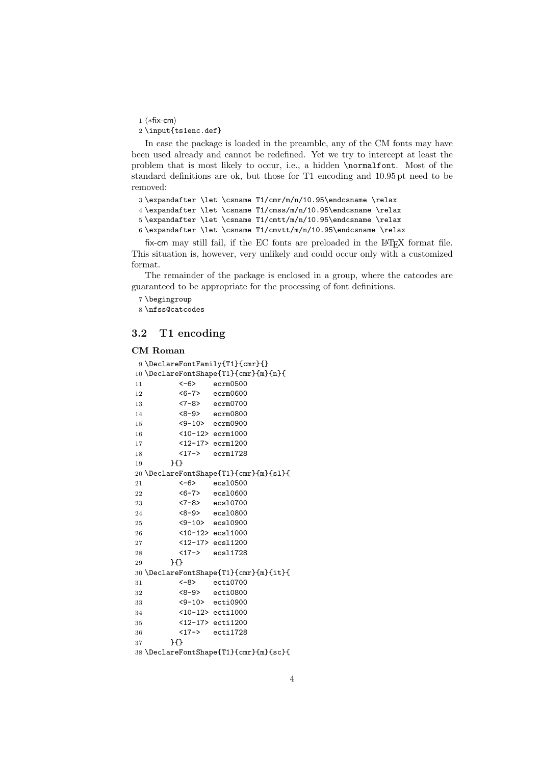1 ⟨∗fix-cm⟩

2 \input{ts1enc.def}

In case the package is loaded in the preamble, any of the CM fonts may have been used already and cannot be redefined. Yet we try to intercept at least the problem that is most likely to occur, i.e., a hidden \normalfont. Most of the standard definitions are ok, but those for T1 encoding and 10.95 pt need to be removed:

 \expandafter \let \csname T1/cmr/m/n/10.95\endcsname \relax \expandafter \let \csname T1/cmss/m/n/10.95\endcsname \relax \expandafter \let \csname T1/cmtt/m/n/10.95\endcsname \relax 6 \expandafter \let \csname T1/cmvtt/m/n/10.95\endcsname \relax

fix-cm may still fail, if the EC fonts are preloaded in the LATEX format file. This situation is, however, very unlikely and could occur only with a customized format.

The remainder of the package is enclosed in a group, where the catcodes are guaranteed to be appropriate for the processing of font definitions.

7 \begingroup

8 \nfss@catcodes

### <span id="page-3-0"></span>3.2 T1 encoding

#### CM Roman

```
9 \DeclareFontFamily{T1}{cmr}{}
10 \DeclareFontShape{T1}{cmr}{m}{n}{
11 <-6> ecrm0500<br>12 <6-7> ecrm0600
12 <6-7> ecrm0600<br>13 <7-8> ecrm0700
13 <7-8> ecrm0700<br>14 <8-9> ecrm0800
14 <8-9> ecrm0800
15 <9-10> ecrm0900
16 <10-12> ecrm1000
17 <12-17> ecrm1200
18 <17-> ecrm1728
19 }{}
20 \DeclareFontShape{T1}{cmr}{m}{sl}{
21 <-6> ecsl0500
22 <6-7> ecs10600<br>23 <6-7> ecs10700
23 <7-8> ecs10700<br>24 <8-9> ecs10800
24 <8-9> ecsl0800
25 <9-10> ecsl0900
26 <10-12> ecsl1000
27 <12-17> ecsl1200
28 <17-> ecsl1728
29 }{}
30 \DeclareFontShape{T1}{cmr}{m}{it}{
31 <-8> ecti0700
32 <8-9> ecti0800
33 <9-10> ecti0900
34 <10-12> ecti1000
35 <12-17> ecti1200
36 <17-> ecti1728
37 }{}
38 \DeclareFontShape{T1}{cmr}{m}{sc}{
```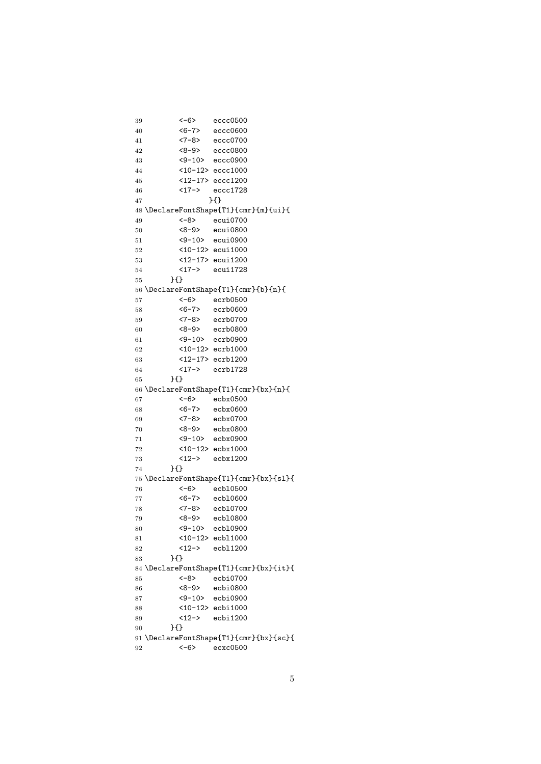```
39 <-6> eccc0500
40 <6-7> eccc0600
41 <7-8> eccc0700
42 <8-9> eccc0800
43 <9-10> eccc0900
44 <10-12> eccc1000
45 <12-17> eccc1200
46 <17-> eccc1728
47 }{}
48 \DeclareFontShape{T1}{cmr}{m}{ui}{
49 <-8> ecui0700
50 <8-9> ecui0800
51 <9-10> ecui0900
52 <10-12> ecui1000
53 <12-17> ecui1200
54 <17-> ecui1728
55 }{}
56 \DeclareFontShape{T1}{cmr}{b}{n}{
57 <-6> ecrb0500
58 <6-7> ecrb0600
59 <7-8> ecrb0700
60 <8-9> ecrb0800
61 <9-10> ecrb0900
62 <10-12> ecrb1000
63 <12-17> ecrb1200
64 <17-> ecrb1728
65 }{}
66 \DeclareFontShape{T1}{cmr}{bx}{n}{
67 <-6> ecbx0500
68 <6-7> ecbx0600
69 <7-8> ecbx0700
70 <8-9> ecbx0800
71 <9-10> ecbx0900
72 <10-12> ecbx1000
73 <12-> ecbx1200
74 }{}
75 \DeclareFontShape{T1}{cmr}{bx}{sl}{
76 <-6> ecbl0500
77 <6-7> ecbl0600
78 <7-8> ecbl0700
79 <8-9> ecbl0800
80 <9-10> ecbl0900
81 <10-12> ecbl1000
82 <12-> ecbl1200
83 }{}
84 \DeclareFontShape{T1}{cmr}{bx}{it}{
85 <-8> ecbi0700
86 <8-9> ecbi0800
87 <9-10> ecbi0900
88 <10-12> ecbi1000
89 <12-> ecbi1200
90 }{}
91 \DeclareFontShape{T1}{cmr}{bx}{sc}{
92 <-6> ecxc0500
```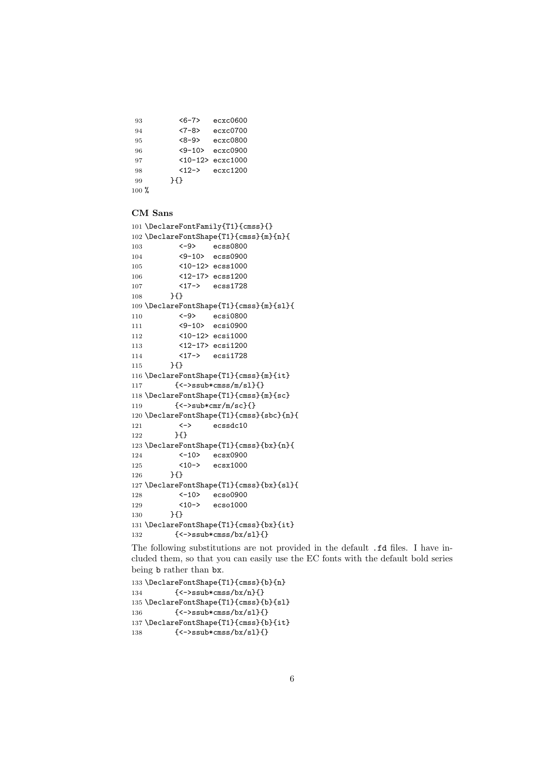<6-7> ecxc0600 <7-8> ecxc0700 <8-9> ecxc0800 <9-10> ecxc0900 <10-12> ecxc1000 <12-> ecxc1200 }{} %

#### CM Sans

```
101 \DeclareFontFamily{T1}{cmss}{}
102 \DeclareFontShape{T1}{cmss}{m}{n}{
103 <-9> ecss0800
104 <9-10> ecss0900
105 <10-12> ecss1000
106 <12-17> ecss1200
107 <17-> ecss1728
108 }{}
109 \DeclareFontShape{T1}{cmss}{m}{sl}{
110 <-9> ecsi0800
111 <9-10> ecsi0900
112 <10-12> ecsi1000
113 <12-17> ecsi1200
114 <17-> ecsi1728
115 }{}
116 \DeclareFontShape{T1}{cmss}{m}{it}
117 { <->ssub*cmss/m/sl}{}
118 \DeclareFontShape{T1}{cmss}{m}{sc}
119 { <-> sub*cmr/m/sc}{}
120 \DeclareFontShape{T1}{cmss}{sbc}{n}{
121 <-> ecssdc10
122 }{}
123 \DeclareFontShape{T1}{cmss}{bx}{n}{
124 <-10> ecsx0900
125 <10-> ecsx1000
126 }{}
127 \DeclareFontShape{T1}{cmss}{bx}{sl}{
128 <-10> ecso0900
129 <10-> ecso1000
130 }{}
131 \DeclareFontShape{T1}{cmss}{bx}{it}
132 {<->ssub*cmss/bx/sl}{}
```
The following substitutions are not provided in the default .fd files. I have included them, so that you can easily use the EC fonts with the default bold series being b rather than bx.

```
133 \DeclareFontShape{T1}{cmss}{b}{n}
134 {<->ssub*cmss/bx/n}{}
135 \DeclareFontShape{T1}{cmss}{b}{sl}
136 {<->ssub*cmss/bx/sl}{}
137 \DeclareFontShape{T1}{cmss}{b}{it}
138 \{\langle -\rangle \text{ssub} \times \text{cms/slb} / \text{sl} \}
```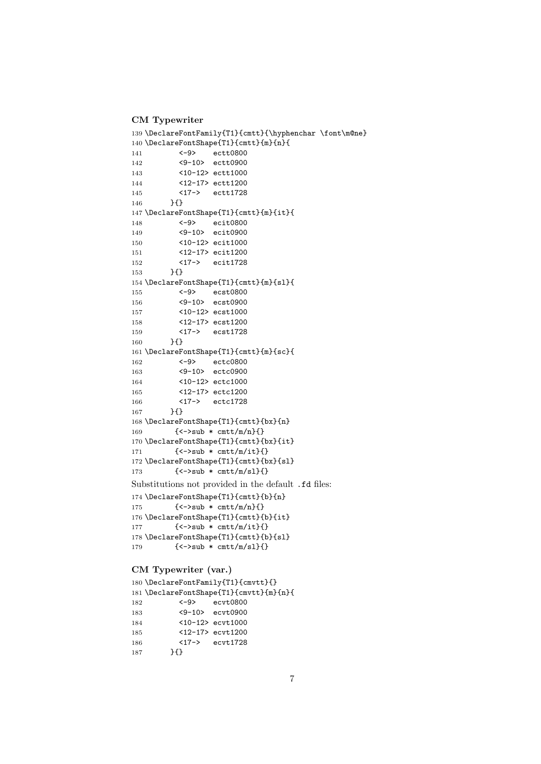CM Typewriter

```
139 \DeclareFontFamily{T1}{cmtt}{\hyphenchar \font\m@ne}
140 \DeclareFontShape{T1}{cmtt}{m}{n}{
141 <-9> ectt0800
142 <9-10> ectt0900
143 <10-12> ectt1000
144 <12-17> ectt1200
145 <17-> ectt1728
146 }{}
147 \DeclareFontShape{T1}{cmtt}{m}{it}{
148 <-9> ecit0800
149 <9-10> ecit0900
150 <10-12> ecit1000
151 <12-17> ecit1200
152 <17-> ecit1728
153 }{}
154 \DeclareFontShape{T1}{cmtt}{m}{sl}{
155 <-9> ecst0800
156 <9-10> ecst0900
157 <10-12> ecst1000
158 <12-17> ecst1200
159 <17-> ecst1728<br>160 }{}
        H161 \DeclareFontShape{T1}{cmtt}{m}{sc}{
162 <-9> ectc0800
163 <9-10> ectc0900
164 <10-12> ectc1000
165 <12-17> ectc1200
166 <17-> ectc1728
167 }{}
168 \DeclareFontShape{T1}{cmtt}{bx}{n}
169 \{\langle -\rangle \text{sub} * \text{cntt/m/n}\}\170 \DeclareFontShape{T1}{cmtt}{bx}{it}
171 \{-\text{sub } * \text{cntt/m/it}\}\172 \DeclareFontShape{T1}{cmtt}{bx}{sl}
173 \{\langle -\rangle \text{sub} * \text{cntt/m/s1} \}Substitutions not provided in the default .fd files:
174 \DeclareFontShape{T1}{cmtt}{b}{n}
175 {\{\leq -\text{sub } * \text{cntt/m/n}\}\}
176 \DeclareFontShape{T1}{cmtt}{b}{it}
177 \{\langle -\rangle \text{sub} * \text{cntt/m/it} \}178 \DeclareFontShape{T1}{cmtt}{b}{sl}
179 { <->sub * cmtt/m/sl}{}
CM Typewriter (var.)
```

```
180 \DeclareFontFamily{T1}{cmvtt}{}
181 \DeclareFontShape{T1}{cmvtt}{m}{n}{
182 <-9> ecvt0800
183 <9-10> ecvt0900
184 <10-12> ecvt1000
185 <12-17> ecvt1200
186 <17-> ecvt1728
       \overline{3}
```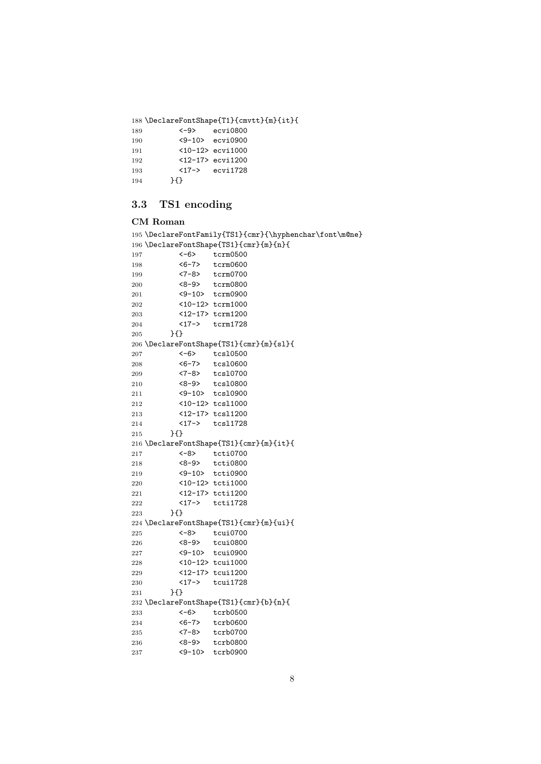\DeclareFontShape{T1}{cmvtt}{m}{it}{ <-9> ecvi0800

| .   |    |                                   |
|-----|----|-----------------------------------|
| 190 |    | $\langle 9 - 10 \rangle$ ecvi0900 |
| 191 |    | $<10-12$ ecvi $1000$              |
| 192 |    | <12-17> ecvi1200                  |
| 193 |    | $<17-$ ecvi1728                   |
| 194 | ਮ≀ |                                   |

# <span id="page-7-0"></span>3.3 TS1 encoding

#### CM Roman

```
195 \DeclareFontFamily{TS1}{cmr}{\hyphenchar\font\m@ne}
196 \DeclareFontShape{TS1}{cmr}{m}{n}{
197 <-6> tcrm0500
198 <6-7> tcrm0600
199 <7-8> tcrm0700
200 <8-9> tcrm0800
201 <9-10> tcrm0900
202 <10-12> tcrm1000<br>203 <12-17> tcrm1200
        203 <12-17> tcrm1200
204 <17-> tcrm1728
205 }{}
206 \DeclareFontShape{TS1}{cmr}{m}{sl}{
207 <-6> tcsl0500
208 <6-7> tcsl0600
209 <7-8> tcsl0700
210 <8-9> tcsl0800
211 <9-10> tcsl0900
212 <10-12> tcsl1000
213 <12-17> tcsl1200
214 <17-> tcsl1728
215 } {}
216 \DeclareFontShape{TS1}{cmr}{m}{it}{
217 <-8> tcti0700
218 <8-9> tcti0800
219 <9-10> tcti0900
220 <10-12> tcti1000
221 <12-17> tcti1200
222 <17-> tcti1728
223 }{}
224 \DeclareFontShape{TS1}{cmr}{m}{ui}{
225 <-8> tcui0700
226 <8-9> tcui0800
227 <9-10> tcui0900
228 <10-12> tcui1000
229 <12-17> tcui1200
230 <17-> tcui1728
231 }{}
232 \DeclareFontShape{TS1}{cmr}{b}{n}{
233 <-6> tcrb0500
234 <6-7> tcrb0600
235 <7-8> tcrb0700
236 <8-9> tcrb0800
237 <9-10> tcrb0900
```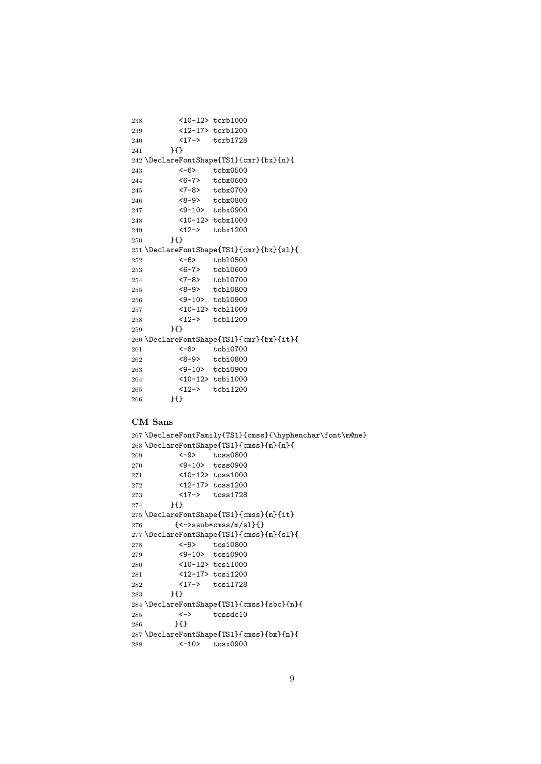```
238 <10-12> tcrb1000
239 <12-17> tcrb1200
240 <17-> tcrb1728
241 }{}
242 \DeclareFontShape{TS1}{cmr}{bx}{n}{
243 <-6> tcbx0500
244 <6-7> tcbx0600
245 <7-8> tcbx0700
246 <8-9> tcbx0800
247 <9-10> tcbx0900
248 <10-12> tcbx1000
249 <12-> tcbx1200
250 }{}
251 \DeclareFontShape{TS1}{cmr}{bx}{sl}{
252 <-6> tcbl0500
253 <6-7> tcbl0600
254 <7-8> tcbl0700
255 <8-9> tcbl0800
256 <9-10> tcbl0900
257 <10-12> tcbl1000
258 <12-> tcbl1200
259 }{}
260 \DeclareFontShape{TS1}{cmr}{bx}{it}{
261 <-8> tcbi0700
262 <8-9> tcbi0800
263 <9-10> tcbi0900
264 <10-12> tcbi1000
265 <12-> tcbi1200
266 }{}
```
#### CM Sans

```
267 \DeclareFontFamily{TS1}{cmss}{\hyphenchar\font\m@ne}
268 \DeclareFontShape{TS1}{cmss}{m}{n}{
269 <-9> tcss0800
270 <9-10> tcss0900
271 <10-12> tcss1000
272 <12-17> tcss1200
273 <17-> tcss1728
274 }{}
275 \DeclareFontShape{TS1}{cmss}{m}{it}
276 {<->ssub*cmss/m/sl}{}
277 \DeclareFontShape{TS1}{cmss}{m}{sl}{
278 <-9> tcsi0800
279 <9-10> tcsi0900
280 <10-12> tcsi1000
281 <12-17> tcsi1200
282 <17-> tcsi1728
283 H
284 \DeclareFontShape{TS1}{cmss}{sbc}{n}{
285 <-> tcssdc10
286    }{}
287 \DeclareFontShape{TS1}{cmss}{bx}{n}{
288 <-10> tcsx0900
```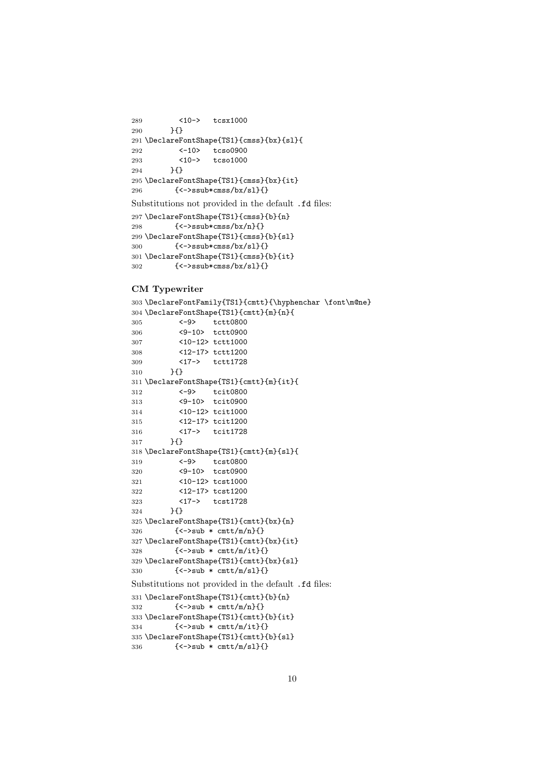```
289 <10-> tcsx1000
290 }{}
291 \DeclareFontShape{TS1}{cmss}{bx}{sl}{
292 <-10> tcso0900
293 <10-> tcso1000
294 }{}
295 \DeclareFontShape{TS1}{cmss}{bx}{it}
296 {<->ssub*cmss/bx/sl}{}
Substitutions not provided in the default .fd files:
297 \DeclareFontShape{TS1}{cmss}{b}{n}
298 {<->ssub*cmss/bx/n}{}
299 \DeclareFontShape{TS1}{cmss}{b}{sl}
300 {<->ssub*cmss/bx/sl}{}
301 \DeclareFontShape{TS1}{cmss}{b}{it}
302 \quad {\{\textless}\} \{\textless}\ \{\textless}\ \{\textless}\ \{\textless}\ \{\textless}\ \{\textless}\
```
#### CM Typewriter

```
303 \DeclareFontFamily{TS1}{cmtt}{\hyphenchar \font\m@ne}
304 \DeclareFontShape{TS1}{cmtt}{m}{n}{
305 <-9> tctt0800
306 <9-10> tctt0900
307 <10-12> tctt1000
308 <12-17> tctt1200
309 <17-> tctt1728
310 }{}
311 \DeclareFontShape{TS1}{cmtt}{m}{it}{
312 <-9> tcit0800
313 <9-10> tcit0900
314 <10-12> tcit1000
315 <12-17> tcit1200
316 <17-> tcit1728
317 }{}
318 \DeclareFontShape{TS1}{cmtt}{m}{sl}{
319 <-9> tcst0800
320 <9-10> tcst0900
321 <10-12> tcst1000
322 <12-17> tcst1200
323 <17-> tcst1728
324 }{}
325 \DeclareFontShape{TS1}{cmtt}{bx}{n}
326 \{\langle -\rangle \text{sub } * \text{cntt/m/n}\}\327 \DeclareFontShape{TS1}{cmtt}{bx}{it}
328 {<->sub * cmtt/m/it}{}
329 \DeclareFontShape{TS1}{cmtt}{bx}{sl}
330 {<->sub * cmtt/m/sl}{}
Substitutions not provided in the default .fd files:
331 \DeclareFontShape{TS1}{cmtt}{b}{n}
332 \{->sub * cmtt/n/n\}333 \DeclareFontShape{TS1}{cmtt}{b}{it}
334 \{\langle -\rangle \text{sub} * \text{cntt/m/it} \}335 \DeclareFontShape{TS1}{cmtt}{b}{sl}
336 {<->sub * cmtt/m/sl}{}
```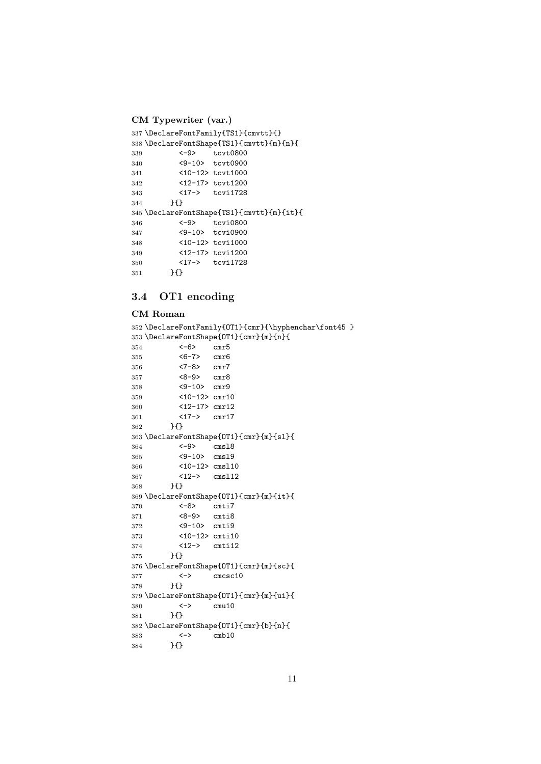```
CM Typewriter (var.)
337 \DeclareFontFamily{TS1}{cmvtt}{}
338 \DeclareFontShape{TS1}{cmvtt}{m}{n}{<br>339 <-9> tcvt0800
339 <-9> tcvt0800
340 <9-10> tcvt0900
341 <10-12> tcvt1000
342 <12-17> tcvt1200
343 <17-> tcvi1728
344 }{}
345 \DeclareFontShape{TS1}{cmvtt}{m}{it}{
346 <-9> tcvi0800
347 <9-10> tcvi0900<br>348 <10-12> tcvi1000
          348 <10-12> tcvi1000
349 <12-17> tcvi1200
350 <17-> tcvi1728<br>351 }{}
        \}{}
```
## <span id="page-10-0"></span>3.4 OT1 encoding

### CM Roman

```
352 \DeclareFontFamily{OT1}{cmr}{\hyphenchar\font45 }
353 \DeclareFontShape{0T1}{cmr}{m}{n}{<br>354 <-6> cmr5
354 \leq -6355 <6-7> cmr6
356 <7-8> cmr7
357 <8-9> cmr8
358 <9-10> cmr9
359 <10-12> cmr10
360 <12-17> cmr12
361 <17-> cmr17
362 }{}
363 \DeclareFontShape{OT1}{cmr}{m}{sl}{
364 <-9> cmsl8
365 <9-10> cmsl9
366 <10-12> cmsl10
367 <12-> cmsl12
368 }{}
369 \DeclareFontShape{OT1}{cmr}{m}{it}{
370 <-8> cmti7<br>371 <8-9> cmti8
371 <8-9> cmti8
372 <9-10> cmti9
373 <10-12> cmti10
374 <12-> cmti12
375 }{}
376 \DeclareFontShape{OT1}{cmr}{m}{sc}{
377 <-> cmcsc10
378 }{}
379 \DeclareFontShape{OT1}{cmr}{m}{ui}{
380 <-> cmu10
381 }{}
382 \DeclareFontShape{OT1}{cmr}{b}{n}{
383 <-> cmb10
384 }{}
```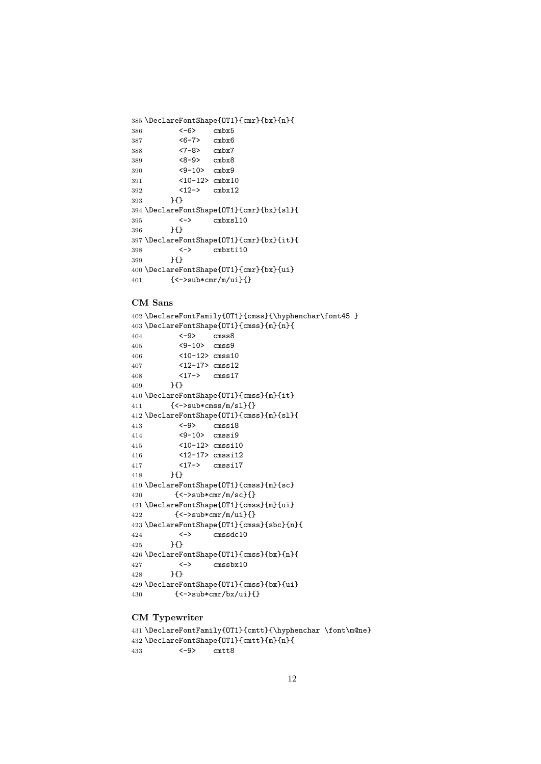```
385 \DeclareFontShape{OT1}{cmr}{bx}{n}{
386 <-6> cmbx5<br>387 <6-7> cmbx6
387 <6-7> cmbx6
388 <7-8> cmbx7
389 <8-9> cmbx8
390 <9-10> cmbx9
391 <10-12> cmbx10
392 <12-> cmbx12
393 }{}
394 \DeclareFontShape{OT1}{cmr}{bx}{sl}{
395 <-> cmbxsl10
396 }{}
397 \DeclareFontShape{OT1}{cmr}{bx}{it}{
398 <-> cmbxti10
399 }{}
400 \DeclareFontShape{OT1}{cmr}{bx}{ui}
401 {<->sub*cmr/m/ui}{}
```
#### CM Sans

```
402 \DeclareFontFamily{OT1}{cmss}{\hyphenchar\font45 }
403 \DeclareFontShape{OT1}{cmss}{m}{n}{
404 <-9> cmss8
405 <9-10> cmss9
406 <10-12> cmss10
407 <12-17> cmss12
408 <17-> cmss17
409 }{}
410 \DeclareFontShape{OT1}{cmss}{m}{it}
411 {<->sub*cmss/m/sl}{}
412 \DeclareFontShape{OT1}{cmss}{m}{sl}{
413 <-9> cmssi8
414 <9-10> cmssi9
415 <10-12> cmssi10
416 <12-17> cmssi12<br>417 <17-> cmssi17
          \langle 17 - \rangle cmssi17
418 }{}
419 \DeclareFontShape{OT1}{cmss}{m}{sc}
420 \{\langle -\rangle \text{sub*cmr/m/sc}\}\421 \DeclareFontShape{OT1}{cmss}{m}{ui}
422 \{\langle -\rangle \text{sub*cmr/m/ui}\}\423 \DeclareFontShape{OT1}{cmss}{sbc}{n}{
424 <-> cmssdc10
425 }{}
426 \DeclareFontShape{OT1}{cmss}{bx}{n}{
427 <-> cmssbx10
428 }{}
429 \DeclareFontShape{OT1}{cmss}{bx}{ui}
430 \{-\text{sub*cmr/bx/ui}\}\}
```
#### CM Typewriter

```
431 \DeclareFontFamily{OT1}{cmtt}{\hyphenchar \font\m@ne}
432 \DeclareFontShape{0T1}{cmtt}{m}{n}{<br>433 <-9> cmtt8
433 <-9> cmtt8
```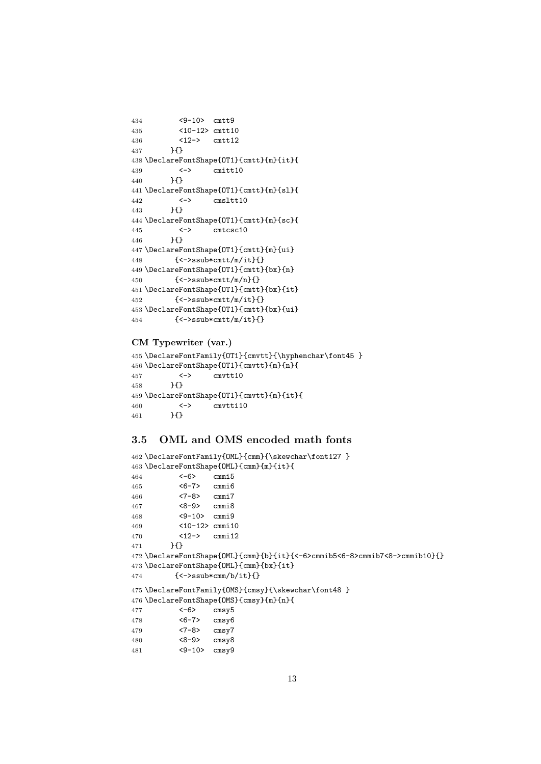```
434 <9-10> cmtt9
435 <10-12> cmtt10
436 <12-> cmtt12
437 }{}
438 \DeclareFontShape{OT1}{cmtt}{m}{it}{
439 <-> cmitt10
440 }{}
441 \DeclareFontShape{OT1}{cmtt}{m}{sl}{
442 <-> cmsltt10
443 }{}
444 \DeclareFontShape{OT1}{cmtt}{m}{sc}{
445 <-> cmtcsc10
446 }{}
447 \DeclareFontShape{OT1}{cmtt}{m}{ui}
448 {<->ssub*cmtt/m/it}{}
449 \DeclareFontShape{OT1}{cmtt}{bx}{n}
450 {<->ssub*cmtt/m/n}{}
451 \DeclareFontShape{OT1}{cmtt}{bx}{it}
452 {<->ssub*cmtt/m/it}{}
453 \DeclareFontShape{OT1}{cmtt}{bx}{ui}
454 {<->ssub*cmtt/m/it}{}
```
#### CM Typewriter (var.)

```
455 \DeclareFontFamily{OT1}{cmvtt}{\hyphenchar\font45 }
456 \DeclareFontShape{0T1}{cmvtt}{m}{n}{<br>457 <-> cmvtt10
457 <-> cmvtt10
458 }{}
459 \DeclareFontShape{OT1}{cmvtt}{m}{it}{
460 <-> cmvtti10
461 }{}
```
#### <span id="page-12-0"></span>3.5 OML and OMS encoded math fonts

```
462 \DeclareFontFamily{OML}{cmm}{\skewchar\font127 }
463 \DeclareFontShape{OML}{cmm}{m}{it}{
464 <-6> cmmi5
465 <6-7> cmmi6
466 <7-8> cmmi7
467 <8-9> cmmi8
468 <9-10> cmmi9
469 <10-12> cmmi10
470 <12-> cmmi12
471 }{}
472 \DeclareFontShape{OML}{cmm}{b}{it}{<-6>cmmib5<6-8>cmmib7<8->cmmib10}{}
473 \DeclareFontShape{OML}{cmm}{bx}{it}
474 \{\langle -\rangle \text{ssub} \times \text{cmm/b/it} \}475 \DeclareFontFamily{OMS}{cmsy}{\skewchar\font48 }
476 \DeclareFontShape{OMS}{cmsy}{m}{n}{
477 <-6> cmsy5
478 <6-7> cmsy6
479 <7-8> cmsy7
480 <8-9> cmsy8
481 <9-10> cmsy9
```